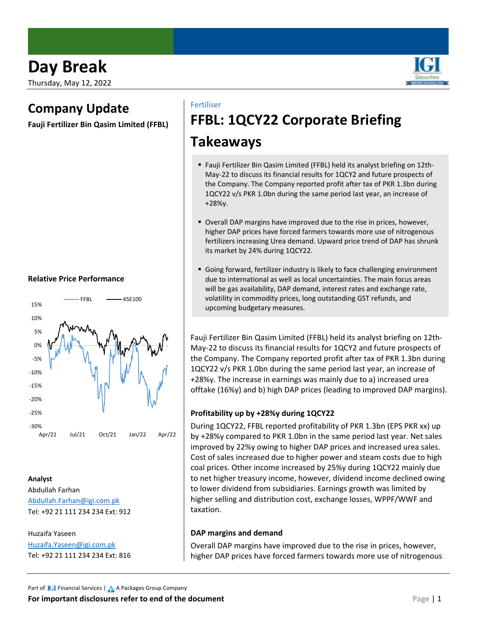Thursday, May 12, 2022

# **Company Update**

**Fauji Fertilizer Bin Qasim Limited (FFBL)**

#### **Relative Price Performance**



## **Analyst**

Abdullah Farhan [Abdullah.Farhan@igi.com.pk](mailto:Abdullah.Farhan@igi.com.pk) Tel: +92 21 111 234 234 Ext: 912

Huzaifa Yaseen [Huzaifa.Yaseen@igi.com.pk](mailto:Huzaifa.Yaseen@igi.com.pk) Tel: +92 21 111 234 234 Ext: 816

### Fertiliser

# **FFBL: 1QCY22 Corporate Briefing**

# **Takeaways**

- Fauji Fertilizer Bin Qasim Limited (FFBL) held its analyst briefing on 12th-May-22 to discuss its financial results for 1QCY2 and future prospects of the Company. The Company reported profit after tax of PKR 1.3bn during 1QCY22 v/s PKR 1.0bn during the same period last year, an increase of +28%y.
- Overall DAP margins have improved due to the rise in prices, however, higher DAP prices have forced farmers towards more use of nitrogenous fertilizers increasing Urea demand. Upward price trend of DAP has shrunk its market by 24% during 1QCY22.
- Going forward, fertilizer industry is likely to face challenging environment due to international as well as local uncertainties. The main focus areas will be gas availability, DAP demand, interest rates and exchange rate, volatility in commodity prices, long outstanding GST refunds, and upcoming budgetary measures.

Fauji Fertilizer Bin Qasim Limited (FFBL) held its analyst briefing on 12th-May-22 to discuss its financial results for 1QCY2 and future prospects of the Company. The Company reported profit after tax of PKR 1.3bn during 1QCY22 v/s PKR 1.0bn during the same period last year, an increase of +28%y. The increase in earnings was mainly due to a) increased urea offtake (16%y) and b) high DAP prices (leading to improved DAP margins).

### **Profitability up by +28%y during 1QCY22**

During 1QCY22, FFBL reported profitability of PKR 1.3bn (EPS PKR xx) up by +28%y compared to PKR 1.0bn in the same period last year. Net sales improved by 22%y owing to higher DAP prices and increased urea sales. Cost of sales increased due to higher power and steam costs due to high coal prices. Other income increased by 25%y during 1QCY22 mainly due to net higher treasury income, however, dividend income declined owing to lower dividend from subsidiaries. Earnings growth was limited by higher selling and distribution cost, exchange losses, WPPF/WWF and taxation.

### **DAP margins and demand**

Overall DAP margins have improved due to the rise in prices, however, higher DAP prices have forced farmers towards more use of nitrogenous

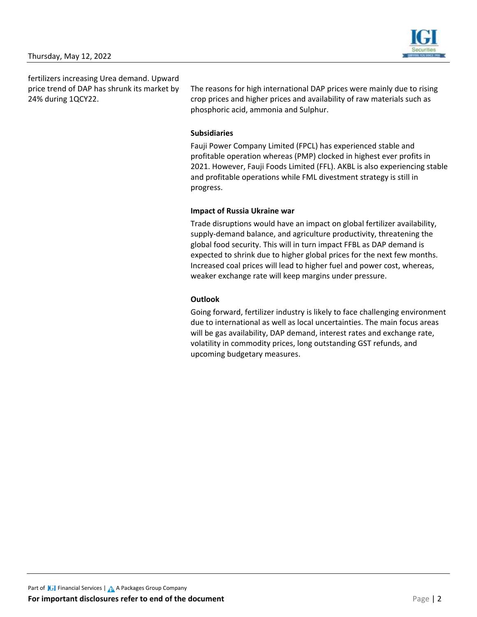

fertilizers increasing Urea demand. Upward price trend of DAP has shrunk its market by 24% during 1QCY22.

The reasons for high international DAP prices were mainly due to rising crop prices and higher prices and availability of raw materials such as phosphoric acid, ammonia and Sulphur.

### **Subsidiaries**

Fauji Power Company Limited (FPCL) has experienced stable and profitable operation whereas (PMP) clocked in highest ever profits in 2021. However, Fauji Foods Limited (FFL). AKBL is also experiencing stable and profitable operations while FML divestment strategy is still in progress.

#### **Impact of Russia Ukraine war**

Trade disruptions would have an impact on global fertilizer availability, supply-demand balance, and agriculture productivity, threatening the global food security. This will in turn impact FFBL as DAP demand is expected to shrink due to higher global prices for the next few months. Increased coal prices will lead to higher fuel and power cost, whereas, weaker exchange rate will keep margins under pressure.

### **Outlook**

Going forward, fertilizer industry is likely to face challenging environment due to international as well as local uncertainties. The main focus areas will be gas availability, DAP demand, interest rates and exchange rate, volatility in commodity prices, long outstanding GST refunds, and upcoming budgetary measures.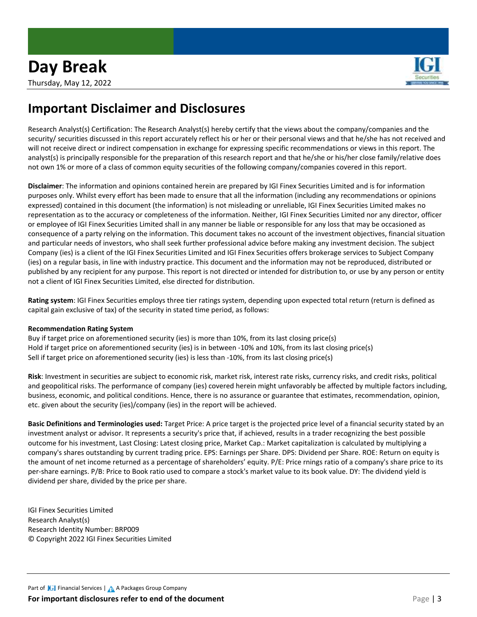

# **Important Disclaimer and Disclosures**

Research Analyst(s) Certification: The Research Analyst(s) hereby certify that the views about the company/companies and the security/ securities discussed in this report accurately reflect his or her or their personal views and that he/she has not received and will not receive direct or indirect compensation in exchange for expressing specific recommendations or views in this report. The analyst(s) is principally responsible for the preparation of this research report and that he/she or his/her close family/relative does not own 1% or more of a class of common equity securities of the following company/companies covered in this report.

**Disclaimer**: The information and opinions contained herein are prepared by IGI Finex Securities Limited and is for information purposes only. Whilst every effort has been made to ensure that all the information (including any recommendations or opinions expressed) contained in this document (the information) is not misleading or unreliable, IGI Finex Securities Limited makes no representation as to the accuracy or completeness of the information. Neither, IGI Finex Securities Limited nor any director, officer or employee of IGI Finex Securities Limited shall in any manner be liable or responsible for any loss that may be occasioned as consequence of a party relying on the information. This document takes no account of the investment objectives, financial situation and particular needs of investors, who shall seek further professional advice before making any investment decision. The subject Company (ies) is a client of the IGI Finex Securities Limited and IGI Finex Securities offers brokerage services to Subject Company (ies) on a regular basis, in line with industry practice. This document and the information may not be reproduced, distributed or published by any recipient for any purpose. This report is not directed or intended for distribution to, or use by any person or entity not a client of IGI Finex Securities Limited, else directed for distribution.

**Rating system**: IGI Finex Securities employs three tier ratings system, depending upon expected total return (return is defined as capital gain exclusive of tax) of the security in stated time period, as follows:

#### **Recommendation Rating System**

Buy if target price on aforementioned security (ies) is more than 10%, from its last closing price(s) Hold if target price on aforementioned security (ies) is in between -10% and 10%, from its last closing price(s) Sell if target price on aforementioned security (ies) is less than -10%, from its last closing price(s)

**Risk**: Investment in securities are subject to economic risk, market risk, interest rate risks, currency risks, and credit risks, political and geopolitical risks. The performance of company (ies) covered herein might unfavorably be affected by multiple factors including, business, economic, and political conditions. Hence, there is no assurance or guarantee that estimates, recommendation, opinion, etc. given about the security (ies)/company (ies) in the report will be achieved.

**Basic Definitions and Terminologies used:** Target Price: A price target is the projected price level of a financial security stated by an investment analyst or advisor. It represents a security's price that, if achieved, results in a trader recognizing the best possible outcome for his investment, Last Closing: Latest closing price, Market Cap.: Market capitalization is calculated by multiplying a company's shares outstanding by current trading price. EPS: Earnings per Share. DPS: Dividend per Share. ROE: Return on equity is the amount of net income returned as a percentage of shareholders' equity. P/E: Price rnings ratio of a company's share price to its per-share earnings. P/B: Price to Book ratio used to compare a stock's market value to its book value. DY: The dividend yield is dividend per share, divided by the price per share.

IGI Finex Securities Limited Research Analyst(s) Research Identity Number: BRP009 © Copyright 2022 IGI Finex Securities Limited